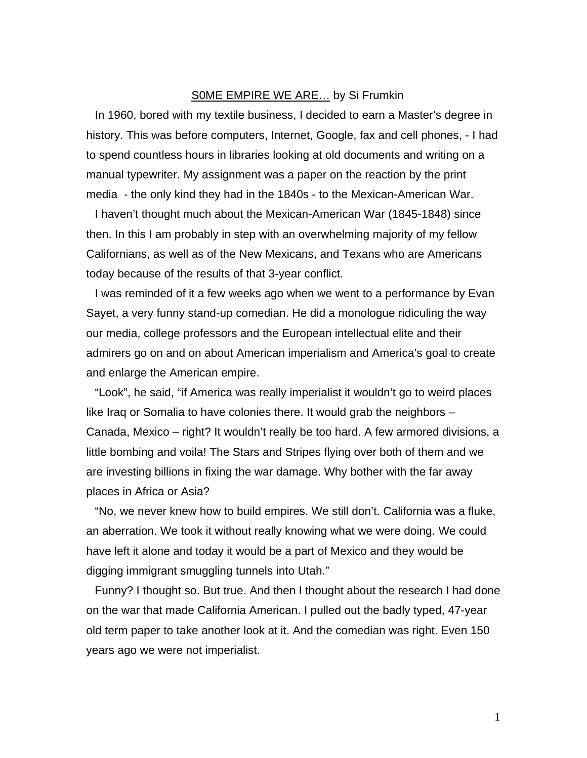## S0ME EMPIRE WE ARE… by Si Frumkin

In 1960, bored with my textile business, I decided to earn a Master's degree in history. This was before computers, Internet, Google, fax and cell phones, - I had to spend countless hours in libraries looking at old documents and writing on a manual typewriter. My assignment was a paper on the reaction by the print media - the only kind they had in the 1840s - to the Mexican-American War.

I haven't thought much about the Mexican-American War (1845-1848) since then. In this I am probably in step with an overwhelming majority of my fellow Californians, as well as of the New Mexicans, and Texans who are Americans today because of the results of that 3-year conflict.

I was reminded of it a few weeks ago when we went to a performance by Evan Sayet, a very funny stand-up comedian. He did a monologue ridiculing the way our media, college professors and the European intellectual elite and their admirers go on and on about American imperialism and America's goal to create and enlarge the American empire.

"Look", he said, "if America was really imperialist it wouldn't go to weird places like Iraq or Somalia to have colonies there. It would grab the neighbors – Canada, Mexico – right? It wouldn't really be too hard. A few armored divisions, a little bombing and voila! The Stars and Stripes flying over both of them and we are investing billions in fixing the war damage. Why bother with the far away places in Africa or Asia?

"No, we never knew how to build empires. We still don't. California was a fluke, an aberration. We took it without really knowing what we were doing. We could have left it alone and today it would be a part of Mexico and they would be digging immigrant smuggling tunnels into Utah."

Funny? I thought so. But true. And then I thought about the research I had done on the war that made California American. I pulled out the badly typed, 47-year old term paper to take another look at it. And the comedian was right. Even 150 years ago we were not imperialist.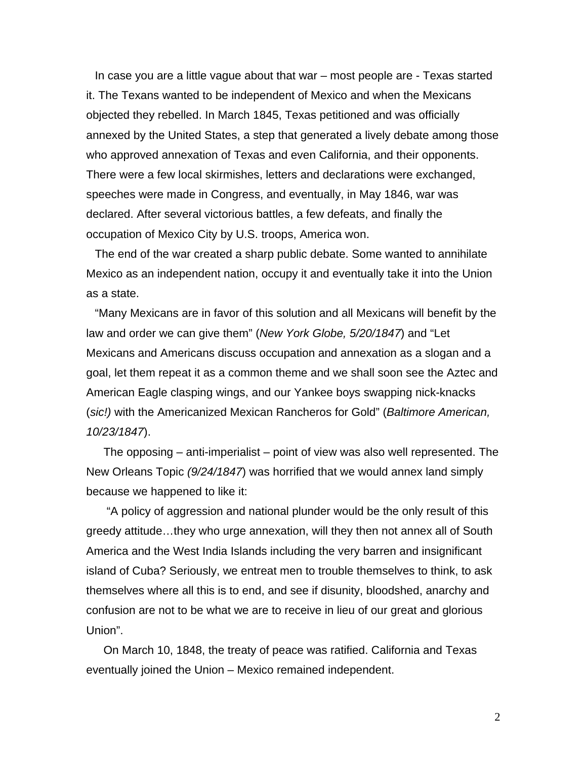In case you are a little vague about that war – most people are - Texas started it. The Texans wanted to be independent of Mexico and when the Mexicans objected they rebelled. In March 1845, Texas petitioned and was officially annexed by the United States, a step that generated a lively debate among those who approved annexation of Texas and even California, and their opponents. There were a few local skirmishes, letters and declarations were exchanged, speeches were made in Congress, and eventually, in May 1846, war was declared. After several victorious battles, a few defeats, and finally the occupation of Mexico City by U.S. troops, America won.

The end of the war created a sharp public debate. Some wanted to annihilate Mexico as an independent nation, occupy it and eventually take it into the Union as a state.

"Many Mexicans are in favor of this solution and all Mexicans will benefit by the law and order we can give them" (*New York Globe, 5/20/1847*) and "Let Mexicans and Americans discuss occupation and annexation as a slogan and a goal, let them repeat it as a common theme and we shall soon see the Aztec and American Eagle clasping wings, and our Yankee boys swapping nick-knacks (*sic!)* with the Americanized Mexican Rancheros for Gold" (*Baltimore American, 10/23/1847*).

The opposing – anti-imperialist – point of view was also well represented. The New Orleans Topic *(9/24/1847*) was horrified that we would annex land simply because we happened to like it:

 "A policy of aggression and national plunder would be the only result of this greedy attitude…they who urge annexation, will they then not annex all of South America and the West India Islands including the very barren and insignificant island of Cuba? Seriously, we entreat men to trouble themselves to think, to ask themselves where all this is to end, and see if disunity, bloodshed, anarchy and confusion are not to be what we are to receive in lieu of our great and glorious Union".

On March 10, 1848, the treaty of peace was ratified. California and Texas eventually joined the Union – Mexico remained independent.

2